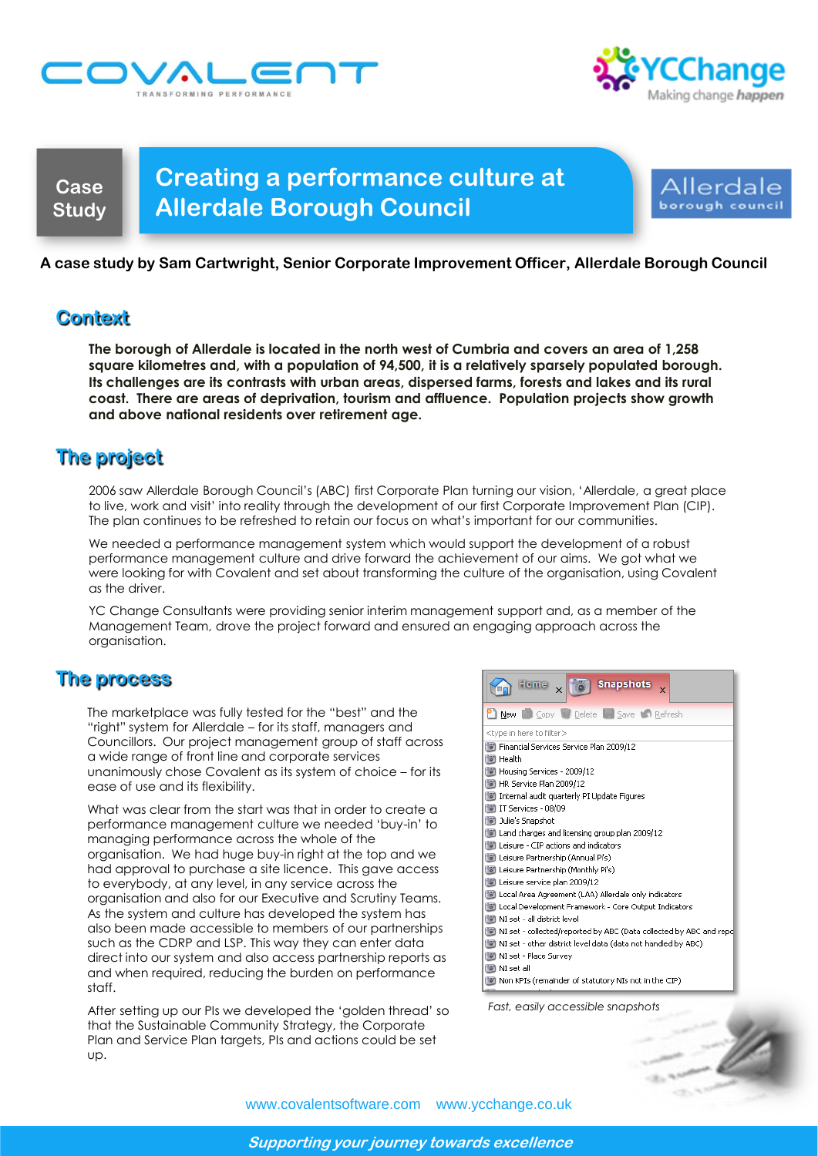



**Case Study**

# **Creating a performance culture at Allerdale Borough Council**



### **A case study by Sam Cartwright, Senior Corporate Improvement Officer, Allerdale Borough Council**

## **Context**

**The borough of Allerdale is located in the north west of Cumbria and covers an area of 1,258 square kilometres and, with a population of 94,500, it is a relatively sparsely populated borough. Its challenges are its contrasts with urban areas, dispersed farms, forests and lakes and its rural coast. There are areas of deprivation, tourism and affluence. Population projects show growth and above national residents over retirement age.**

# **The project**

2006 saw Allerdale Borough Council"s (ABC) first Corporate Plan turning our vision, "Allerdale, a great place to live, work and visit" into reality through the development of our first Corporate Improvement Plan (CIP). The plan continues to be refreshed to retain our focus on what"s important for our communities.

We needed a performance management system which would support the development of a robust performance management culture and drive forward the achievement of our aims. We got what we were looking for with Covalent and set about transforming the culture of the organisation, using Covalent as the driver.

YC Change Consultants were providing senior interim management support and, as a member of the Management Team, drove the project forward and ensured an engaging approach across the organisation.

# **The process**

The marketplace was fully tested for the "best" and the "right" system for Allerdale – for its staff, managers and Councillors. Our project management group of staff across a wide range of front line and corporate services unanimously chose Covalent as its system of choice – for its ease of use and its flexibility.

What was clear from the start was that in order to create a performance management culture we needed "buy-in" to managing performance across the whole of the organisation. We had huge buy-in right at the top and we had approval to purchase a site licence. This gave access to everybody, at any level, in any service across the organisation and also for our Executive and Scrutiny Teams. As the system and culture has developed the system has also been made accessible to members of our partnerships such as the CDRP and LSP. This way they can enter data direct into our system and also access partnership reports as and when required, reducing the burden on performance staff.

After setting up our PIs we developed the "golden thread" so that the Sustainable Community Strategy, the Corporate Plan and Service Plan targets, PIs and actions could be set up.



*Fast, easily accessible sn[apshots](http://www.istockphoto.com/file_closeup/who/people_specific_attributes/gender/1167045_excellent_work.php?id=1167045)*



www.covalentsoftware.com www.ycchange.co.uk

**Supporting your journey towards excellence**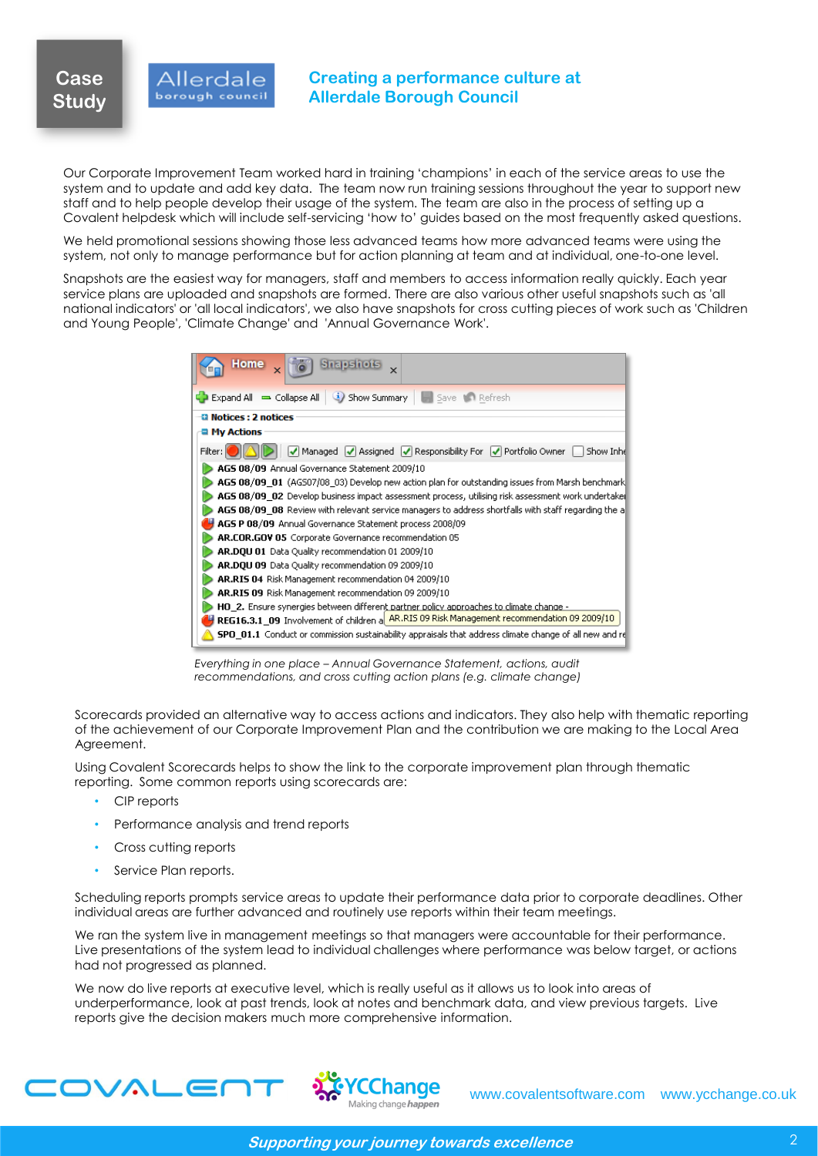### Allerdale borough council

### **Creating a performance culture at Allerdale Borough Council**

Our Corporate Improvement Team worked hard in training "champions" in each of the service areas to use the system and to update and add key data. The team now run training sessions throughout the year to support new staff and to help people develop their usage of the system. The team are also in the process of setting up a Covalent helpdesk which will include self-servicing "how to" guides based on the most frequently asked questions.

We held promotional sessions showing those less advanced teams how more advanced teams were using the system, not only to manage performance but for action planning at team and at individual, one-to-one level.

Snapshots are the easiest way for managers, staff and members to access information really quickly. Each year service plans are uploaded and snapshots are formed. There are also various other useful snapshots such as 'all national indicators' or 'all local indicators', we also have snapshots for cross cutting pieces of work such as 'Children and Young People', 'Climate Change' and 'Annual Governance Work'.

| Home                                                                                                          |
|---------------------------------------------------------------------------------------------------------------|
| Save <b>MR</b> Refresh<br>(i) Show Summary<br>Expand All = Collapse All                                       |
| <b>CI Notices : 2 notices</b>                                                                                 |
| <b>■ My Actions</b>                                                                                           |
| √ Managed  √ Assigned  √ Responsibility For  √ Portfolio Owner<br>Show Inhi<br>Filter:                        |
| AGS 08/09 Annual Governance Statement 2009/10                                                                 |
| AGS 08/09_01 (AG507/08_03) Develop new action plan for outstanding issues from Marsh benchmark                |
| AGS 08/09_02 Develop business impact assessment process, utilising risk assessment work undertake             |
| AGS 08/09_08 Review with relevant service managers to address shortfalls with staff regarding the a           |
| AGS P 08/09 Annual Governance Statement process 2008/09                                                       |
| AR.COR.GOV 05 Corporate Governance recommendation 05                                                          |
| AR.DOU 01 Data Quality recommendation 01 2009/10                                                              |
| AR.DOU 09 Data Quality recommendation 09 2009/10                                                              |
| AR.RIS 04 Risk Management recommendation 04 2009/10                                                           |
| AR.RIS 09 Risk Management recommendation 09 2009/10                                                           |
| HO 2. Ensure synergies between different partner policy approaches to climate change -                        |
| REG16.3.1_09 Involvement of children a <u>AR.RIS 09 Risk Management recommendation 09 2009/10</u>             |
| <b>SPO_01.1</b> Conduct or commission sustainability appraisals that address climate change of all new and re |

*Everything in one place – Annual Governance Statement, actions, audit recommendations, and cross cutting action plans (e.g. climate change)*

Scorecards provided an alternative way to access actions and indicators. They also help with thematic reporting of the achievement of our Corporate Improvement Plan and the contribution we are making to the Local Area Agreement.

Using Covalent Scorecards helps to show the link to the corporate improvement plan through thematic reporting. Some common reports using scorecards are:

- CIP reports
- Performance analysis and trend reports
- Cross cutting reports
- Service Plan reports.

Scheduling reports prompts service areas to update their performance data prior to corporate deadlines. Other individual areas are further advanced and routinely use reports within their team meetings.

We ran the system live in management meetings so that managers were accountable for their performance. Live presentations of the system lead to individual challenges where performance was below target, or actions had not progressed as planned.

We now do live reports at executive level, which is really useful as it allows us to look into areas of underperformance, look at past trends, look at notes and benchmark data, and view previous targets. Live reports give the decision makers much more comprehensive information.

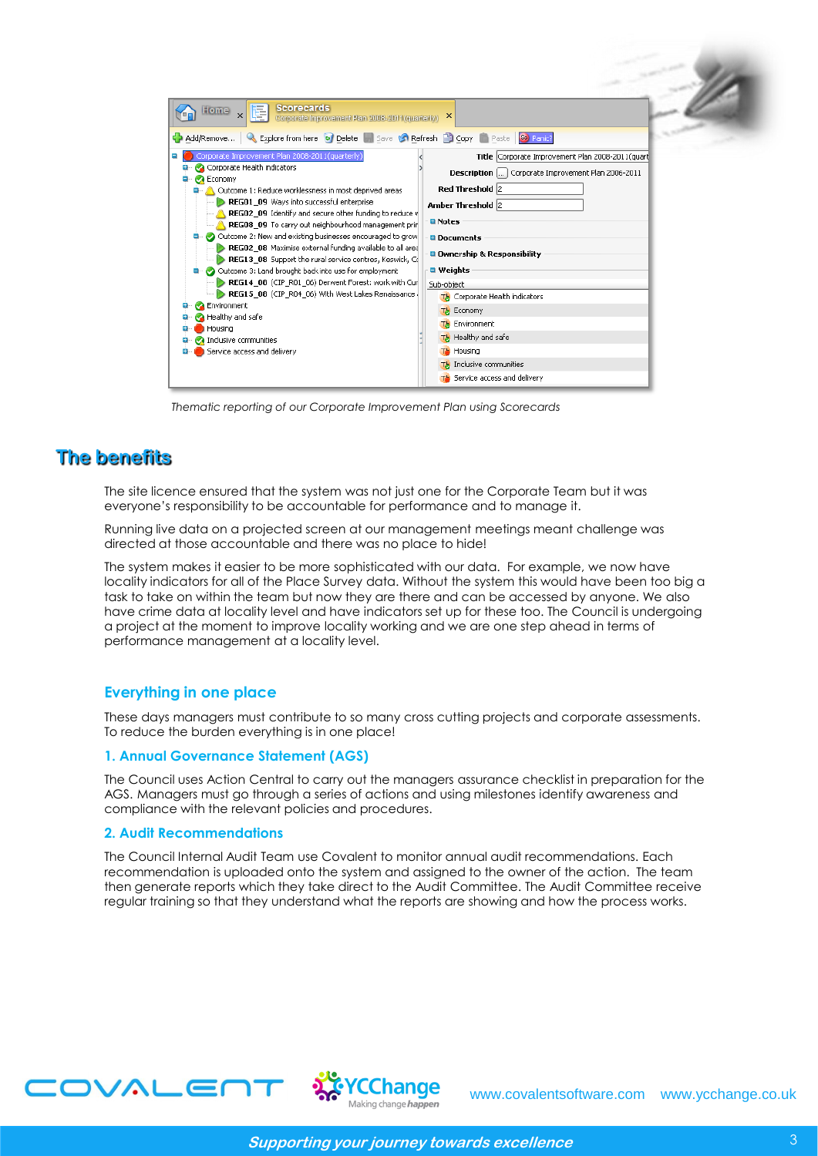| <b>Scorecards</b><br>Home<br>Ē<br>Corporate Improvement Plan 2008-2011 (quarterly)                                                                                                                                                                                                                                                                                                                                                                                                                                                                                                                                                                                                                                                                                                                                                                                                                             | $\times$                                                                                                                                                                                                                                                                                                                                                                                                                                                 |
|----------------------------------------------------------------------------------------------------------------------------------------------------------------------------------------------------------------------------------------------------------------------------------------------------------------------------------------------------------------------------------------------------------------------------------------------------------------------------------------------------------------------------------------------------------------------------------------------------------------------------------------------------------------------------------------------------------------------------------------------------------------------------------------------------------------------------------------------------------------------------------------------------------------|----------------------------------------------------------------------------------------------------------------------------------------------------------------------------------------------------------------------------------------------------------------------------------------------------------------------------------------------------------------------------------------------------------------------------------------------------------|
| <b>Q.</b> Explore from here <b>o</b> Delete <b>Bill Save &amp; Refresh Bill Copy C</b> Paste So Panic?<br>Add/Remove<br>Corporate Improvement Plan 2008-2011(quarterly)<br>Corporate Health indicators<br>Economy<br>Outcome 1: Reduce worklessness in most deprived areas<br>REG01 09 Ways into successful enterprise<br>REG02 09 Identify and secure other funding to reduce v<br>REG08_09 To carry out neighbourhood management prin<br>Outcome 2: New and existing businesses encouraged to grow<br>REG02_08 Maximise external funding available to all area<br>REG13_08 Support the rural service centres, Keswick, Co<br>Outcome 3: Land brought back into use for employment<br>REG14_08 (CIP_R01_06) Derwent Forest: work with Cur<br>REG15_08 (CIP_R04_06) With West Lakes Renaissance .<br><b>Environment</b><br>Healthy and safe<br>Housing<br>Inclusive communities<br>Service access and delivery | Title Corporate Improvement Plan 2008-2011(quart<br>Description [] Corporate Improvement Plan 2006-2011<br>Red Threshold 2<br>Amber Threshold 2<br><b>Q</b> Notes<br><b>Q</b> Documents<br><b>Q</b> Ownership & Responsibility<br>$\blacksquare$ Weights<br>Sub-object<br>The Corporate Health indicators<br>The Economy<br><b>TA</b> Environment<br>The Healthy and safe<br>The Housing<br>The Inclusive communities<br>The Service access and delivery |

*Thematic reporting of our Corporate Improvement Plan using Scorecards*

### **The benefits**

The site licence ensured that the system was not just one for the Corporate Team but it was everyone"s responsibility to be accountable for performance and to manage it.

Running live data on a projected screen at our management meetings meant challenge was directed at those accountable and there was no place to hide!

The system makes it easier to be more sophisticated with our data. For example, we now have locality indicators for all of the Place Survey data. Without the system this would have been too big a task to take on within the team but now they are there and can be accessed by anyone. We also have crime data at locality level and have indicators set up for these too. The Council is undergoing a project at the moment to improve locality working and we are one step ahead in terms of performance management at a locality level.

#### **Everything in one place**

These days managers must contribute to so many cross cutting projects and corporate assessments. To reduce the burden everything is in one place!

#### **1. Annual Governance Statement (AGS)**

The Council uses Action Central to carry out the managers assurance checklist in preparation for the AGS. Managers must go through a series of actions and using milestones identify awareness and compliance with the relevant policies and procedures.

### **2. Audit Recommendations**

The Council Internal Audit Team use Covalent to monitor annual audit recommendations. Each recommendation is uploaded onto the system and assigned to the owner of the action. The team then generate reports which they take direct to the Audit Committee. The Audit Committee receive regular training so that they understand what the reports are showing and how the process works.